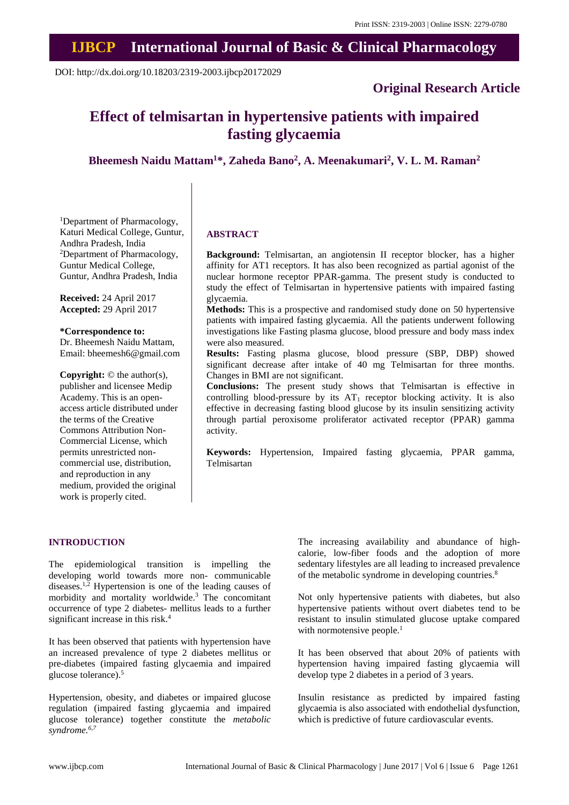## **IJBCP International Journal of Basic & Clinical Pharmacology**

DOI: http://dx.doi.org/10.18203/2319-2003.ijbcp20172029

## **Original Research Article**

# **Effect of telmisartan in hypertensive patients with impaired fasting glycaemia**

**Bheemesh Naidu Mattam<sup>1</sup>\*, Zaheda Bano<sup>2</sup> , A. Meenakumari<sup>2</sup> , V. L. M. Raman<sup>2</sup>**

<sup>1</sup>Department of Pharmacology, Katuri Medical College, Guntur, Andhra Pradesh, India <sup>2</sup>Department of Pharmacology, Guntur Medical College, Guntur, Andhra Pradesh, India

**Received:** 24 April 2017 **Accepted:** 29 April 2017

#### **\*Correspondence to:**

Dr. Bheemesh Naidu Mattam, Email: bheemesh6@gmail.com

**Copyright:** © the author(s), publisher and licensee Medip Academy. This is an openaccess article distributed under the terms of the Creative Commons Attribution Non-Commercial License, which permits unrestricted noncommercial use, distribution, and reproduction in any medium, provided the original work is properly cited.

#### **ABSTRACT**

**Background:** Telmisartan, an angiotensin II receptor blocker, has a higher affinity for AT1 receptors. It has also been recognized as partial agonist of the nuclear hormone receptor PPAR-gamma. The present study is conducted to study the effect of Telmisartan in hypertensive patients with impaired fasting glycaemia.

**Methods:** This is a prospective and randomised study done on 50 hypertensive patients with impaired fasting glycaemia. All the patients underwent following investigations like Fasting plasma glucose, blood pressure and body mass index were also measured.

**Results:** Fasting plasma glucose, blood pressure (SBP, DBP) showed significant decrease after intake of 40 mg Telmisartan for three months. Changes in BMI are not significant.

**Conclusions:** The present study shows that Telmisartan is effective in controlling blood-pressure by its  $AT_1$  receptor blocking activity. It is also effective in decreasing fasting blood glucose by its insulin sensitizing activity through partial peroxisome proliferator activated receptor (PPAR) gamma activity.

**Keywords:** Hypertension, Impaired fasting glycaemia, PPAR gamma, Telmisartan

#### **INTRODUCTION**

The epidemiological transition is impelling the developing world towards more non- communicable diseases.1,2 Hypertension is one of the leading causes of morbidity and mortality worldwide.<sup>3</sup> The concomitant occurrence of type 2 diabetes- mellitus leads to a further significant increase in this risk.<sup>4</sup>

It has been observed that patients with hypertension have an increased prevalence of type 2 diabetes mellitus or pre-diabetes (impaired fasting glycaemia and impaired glucose tolerance).<sup>5</sup>

Hypertension, obesity, and diabetes or impaired glucose regulation (impaired fasting glycaemia and impaired glucose tolerance) together constitute the *metabolic syndrome.6,7*

The increasing availability and abundance of highcalorie, low-fiber foods and the adoption of more sedentary lifestyles are all leading to increased prevalence of the metabolic syndrome in developing countries.<sup>8</sup>

Not only hypertensive patients with diabetes, but also hypertensive patients without overt diabetes tend to be resistant to insulin stimulated glucose uptake compared with normotensive people. $<sup>1</sup>$ </sup>

It has been observed that about 20% of patients with hypertension having impaired fasting glycaemia will develop type 2 diabetes in a period of 3 years.

Insulin resistance as predicted by impaired fasting glycaemia is also associated with endothelial dysfunction, which is predictive of future cardiovascular events.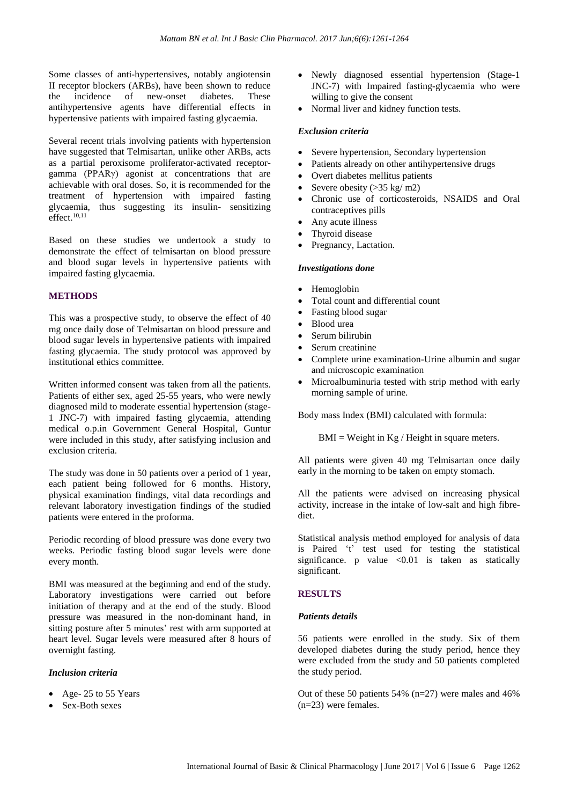Some classes of anti-hypertensives, notably angiotensin II receptor blockers (ARBs), have been shown to reduce the incidence of new-onset diabetes. These antihypertensive agents have differential effects in hypertensive patients with impaired fasting glycaemia.

Several recent trials involving patients with hypertension have suggested that Telmisartan, unlike other ARBs, acts as a partial peroxisome proliferator-activated receptorgamma (PPARγ) agonist at concentrations that are achievable with oral doses. So, it is recommended for the treatment of hypertension with impaired fasting glycaemia, thus suggesting its insulin- sensitizing effect. $10,11$ 

Based on these studies we undertook a study to demonstrate the effect of telmisartan on blood pressure and blood sugar levels in hypertensive patients with impaired fasting glycaemia.

#### **METHODS**

This was a prospective study, to observe the effect of 40 mg once daily dose of Telmisartan on blood pressure and blood sugar levels in hypertensive patients with impaired fasting glycaemia. The study protocol was approved by institutional ethics committee.

Written informed consent was taken from all the patients. Patients of either sex, aged 25-55 years, who were newly diagnosed mild to moderate essential hypertension (stage-1 JNC-7) with impaired fasting glycaemia, attending medical o.p.in Government General Hospital, Guntur were included in this study, after satisfying inclusion and exclusion criteria.

The study was done in 50 patients over a period of 1 year, each patient being followed for 6 months. History, physical examination findings, vital data recordings and relevant laboratory investigation findings of the studied patients were entered in the proforma.

Periodic recording of blood pressure was done every two weeks. Periodic fasting blood sugar levels were done every month.

BMI was measured at the beginning and end of the study. Laboratory investigations were carried out before initiation of therapy and at the end of the study. Blood pressure was measured in the non-dominant hand, in sitting posture after 5 minutes' rest with arm supported at heart level. Sugar levels were measured after 8 hours of overnight fasting.

#### *Inclusion criteria*

- Age- 25 to 55 Years
- Sex-Both sexes
- Newly diagnosed essential hypertension (Stage-1) JNC-7) with Impaired fasting-glycaemia who were willing to give the consent
- Normal liver and kidney function tests.

#### *Exclusion criteria*

- Severe hypertension, Secondary hypertension
- Patients already on other antihypertensive drugs
- Overt diabetes mellitus patients
- Severe obesity  $(>35 \text{ kg/m2})$
- Chronic use of corticosteroids, NSAIDS and Oral contraceptives pills
- Any acute illness
- Thyroid disease
- Pregnancy, Lactation.

#### *Investigations done*

- Hemoglobin
- Total count and differential count
- Fasting blood sugar
- Blood urea
- Serum bilirubin
- Serum creatinine
- Complete urine examination-Urine albumin and sugar and microscopic examination
- Microalbuminuria tested with strip method with early morning sample of urine.

Body mass Index (BMI) calculated with formula:

 $BMI = Weight in Kg / Height in square meters.$ 

All patients were given 40 mg Telmisartan once daily early in the morning to be taken on empty stomach.

All the patients were advised on increasing physical activity, increase in the intake of low-salt and high fibrediet.

Statistical analysis method employed for analysis of data is Paired 't' test used for testing the statistical significance. p value  $\leq 0.01$  is taken as statically significant.

#### **RESULTS**

#### *Patients details*

56 patients were enrolled in the study. Six of them developed diabetes during the study period, hence they were excluded from the study and 50 patients completed the study period.

Out of these 50 patients 54% (n=27) were males and 46% (n=23) were females.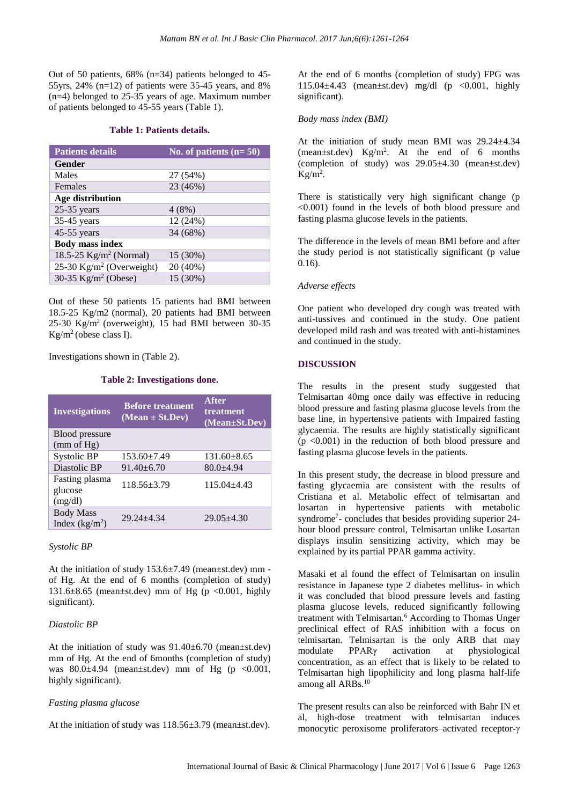Out of 50 patients, 68% (n=34) patients belonged to 45- 55yrs,  $24\%$  (n=12) of patients were 35-45 years, and 8% (n=4) belonged to 25-35 years of age. Maximum number of patients belonged to 45-55 years (Table 1).

#### **Table 1: Patients details.**

| <b>Patients details</b>                | No. of patients $(n=50)$ |
|----------------------------------------|--------------------------|
| Gender                                 |                          |
| Males                                  | 27 (54%)                 |
| Females                                | 23 (46%)                 |
| Age distribution                       |                          |
| $25-35$ years                          | 4(8%)                    |
| 35-45 years                            | 12 (24%)                 |
| 45-55 years                            | 34 (68%)                 |
| <b>Body mass index</b>                 |                          |
| 18.5-25 $Kg/m^2$ (Normal)              | 15 (30%)                 |
| $25-30$ Kg/m <sup>2</sup> (Overweight) | 20 (40%)                 |
| 30-35 $Kg/m^2$ (Obese)                 | 15 (30%)                 |

Out of these 50 patients 15 patients had BMI between 18.5-25 Kg/m2 (normal), 20 patients had BMI between 25-30 Kg/m<sup>2</sup> (overweight), 15 had BMI between 30-35 Kg/m<sup>2</sup> (obese class I).

Investigations shown in (Table 2).

#### **Table 2: Investigations done.**

| <b>Investigations</b>                | <b>Before treatment</b><br>$(Mean \pm St.Dev)$ | <b>After</b><br>treatment<br>(Mean±St.Dev) |
|--------------------------------------|------------------------------------------------|--------------------------------------------|
| <b>Blood</b> pressure<br>(mm of Hg)  |                                                |                                            |
| Systolic BP                          | $153.60 \pm 7.49$                              | $131.60 \pm 8.65$                          |
| Diastolic BP                         | $91.40 + 6.70$                                 | $80.0 + 4.94$                              |
| Fasting plasma<br>glucose<br>(mg/dl) | $118.56 \pm 3.79$                              | $115.04 + 4.43$                            |
| <b>Body Mass</b><br>Index $(kg/m2)$  | $29.24 + 4.34$                                 | $29.05 \pm 4.30$                           |

#### *Systolic BP*

At the initiation of study  $153.6 \pm 7.49$  (mean $\pm$ st.dev) mm of Hg. At the end of 6 months (completion of study) 131.6 $\pm$ 8.65 (mean $\pm$ st.dev) mm of Hg (p <0.001, highly significant).

#### *Diastolic BP*

At the initiation of study was 91.40±6.70 (mean±st.dev) mm of Hg. At the end of 6months (completion of study) was  $80.0\pm4.94$  (mean $\pm$ st.dev) mm of Hg (p < 0.001, highly significant).

### *Fasting plasma glucose*

At the initiation of study was 118.56±3.79 (mean±st.dev).

At the end of 6 months (completion of study) FPG was 115.04±4.43 (mean±st.dev) mg/dl (p <0.001, highly significant).

#### *Body mass index (BMI)*

At the initiation of study mean BMI was 29.24±4.34 (mean±st.dev) Kg/m<sup>2</sup> . At the end of 6 months (completion of study) was  $29.05\pm4.30$  (mean $\pm$ st.dev)  $Kg/m<sup>2</sup>$ .

There is statistically very high significant change (p <0.001) found in the levels of both blood pressure and fasting plasma glucose levels in the patients.

The difference in the levels of mean BMI before and after the study period is not statistically significant (p value 0.16).

#### *Adverse effects*

One patient who developed dry cough was treated with anti-tussives and continued in the study. One patient developed mild rash and was treated with anti-histamines and continued in the study.

#### **DISCUSSION**

The results in the present study suggested that Telmisartan 40mg once daily was effective in reducing blood pressure and fasting plasma glucose levels from the base line, in hypertensive patients with Impaired fasting glycaemia. The results are highly statistically significant (p <0.001) in the reduction of both blood pressure and fasting plasma glucose levels in the patients.

In this present study, the decrease in blood pressure and fasting glycaemia are consistent with the results of Cristiana et al. Metabolic effect of telmisartan and losartan in hypertensive patients with metabolic syndrome<sup>7</sup> - concludes that besides providing superior 24 hour blood pressure control, Telmisartan unlike Losartan displays insulin sensitizing activity, which may be explained by its partial PPAR gamma activity.

Masaki et al found the effect of Telmisartan on insulin resistance in Japanese type 2 diabetes mellitus- in which it was concluded that blood pressure levels and fasting plasma glucose levels, reduced significantly following treatment with Telmisartan.<sup>6</sup> According to Thomas Unger preclinical effect of RAS inhibition with a focus on telmisartan. Telmisartan is the only ARB that may modulate PPARγ activation at physiological concentration, as an effect that is likely to be related to Telmisartan high lipophilicity and long plasma half-life among all ARBs.<sup>10</sup>

The present results can also be reinforced with Bahr IN et al, high-dose treatment with telmisartan induces monocytic peroxisome proliferators–activated receptor-γ